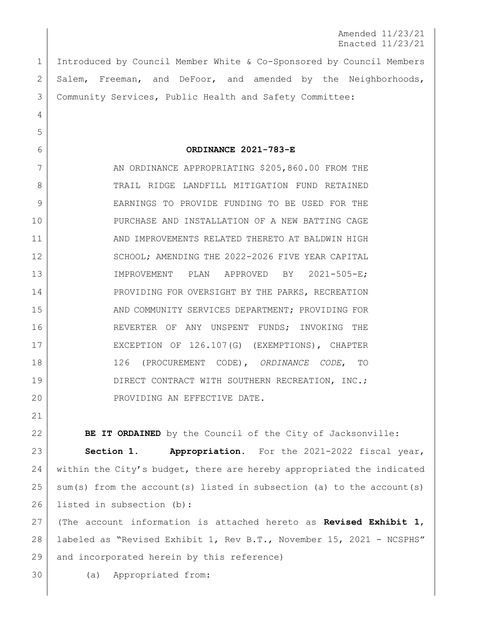Amended 11/23/21 Enacted 11/23/21

1 Introduced by Council Member White & Co-Sponsored by Council Members 2 Salem, Freeman, and DeFoor, and amended by the Neighborhoods, 3 Community Services, Public Health and Safety Committee:

6 **ORDINANCE 2021-783-E**

7 AN ORDINANCE APPROPRIATING \$205,860.00 FROM THE 8 TRAIL RIDGE LANDFILL MITIGATION FUND RETAINED 9 EARNINGS TO PROVIDE FUNDING TO BE USED FOR THE 10 PURCHASE AND INSTALLATION OF A NEW BATTING CAGE 11 AND IMPROVEMENTS RELATED THERETO AT BALDWIN HIGH 12 SCHOOL; AMENDING THE 2022-2026 FIVE YEAR CAPITAL 13 IMPROVEMENT PLAN APPROVED BY 2021-505-E; 14 PROVIDING FOR OVERSIGHT BY THE PARKS, RECREATION 15 AND COMMUNITY SERVICES DEPARTMENT; PROVIDING FOR 16 REVERTER OF ANY UNSPENT FUNDS; INVOKING THE 17 EXCEPTION OF 126.107(G) (EXEMPTIONS), CHAPTER 18 126 (PROCUREMENT CODE), *ORDINANCE CODE*, TO 19 DIRECT CONTRACT WITH SOUTHERN RECREATION, INC.; 20 PROVIDING AN EFFECTIVE DATE.

**BE IT ORDAINED** by the Council of the City of Jacksonville: **Section 1. Appropriation.** For the 2021-2022 fiscal year, 24 within the City's budget, there are hereby appropriated the indicated sum(s) from the account(s) listed in subsection (a) to the account(s) listed in subsection (b):

27 (The account information is attached hereto as **Revised Exhibit 1**, 28 labeled as "Revised Exhibit 1, Rev B.T., November 15, 2021 - NCSPHS" 29 and incorporated herein by this reference)

30 (a) Appropriated from:

4

5

21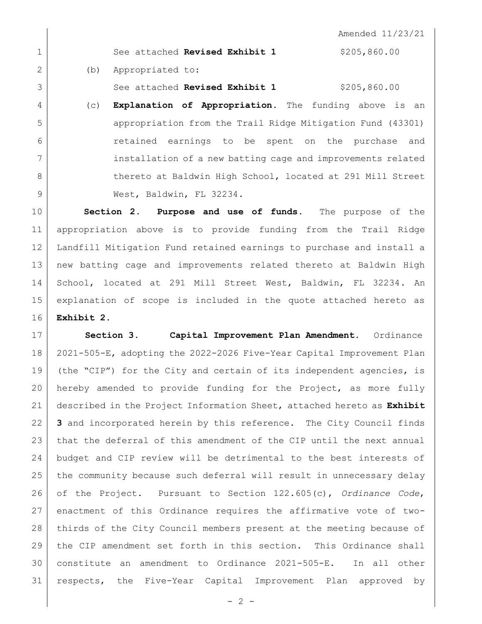Amended 11/23/21 See attached **Revised Exhibit 1** \$205,860.00 2 (b) Appropriated to: See attached **Revised Exhibit 1** \$205,860.00 (c) **Explanation of Appropriation.** The funding above is an appropriation from the Trail Ridge Mitigation Fund (43301) retained earnings to be spent on the purchase and 7 installation of a new batting cage and improvements related 8 thereto at Baldwin High School, located at 291 Mill Street

 **Section 2**. **Purpose and use of funds.** The purpose of the appropriation above is to provide funding from the Trail Ridge Landfill Mitigation Fund retained earnings to purchase and install a new batting cage and improvements related thereto at Baldwin High School, located at 291 Mill Street West, Baldwin, FL 32234. An explanation of scope is included in the quote attached hereto as **Exhibit 2.**

9 | West, Baldwin, FL 32234.

 **Section 3. Capital Improvement Plan Amendment.** Ordinance 2021-505-E, adopting the 2022-2026 Five-Year Capital Improvement Plan (the "CIP") for the City and certain of its independent agencies, is hereby amended to provide funding for the Project, as more fully described in the Project Information Sheet, attached hereto as **Exhibit 3** and incorporated herein by this reference. The City Council finds that the deferral of this amendment of the CIP until the next annual budget and CIP review will be detrimental to the best interests of the community because such deferral will result in unnecessary delay of the Project. Pursuant to Section 122.605(c), *Ordinance Code*, enactment of this Ordinance requires the affirmative vote of two- thirds of the City Council members present at the meeting because of 29 | the CIP amendment set forth in this section. This Ordinance shall constitute an amendment to Ordinance 2021-505-E. In all other respects, the Five-Year Capital Improvement Plan approved by